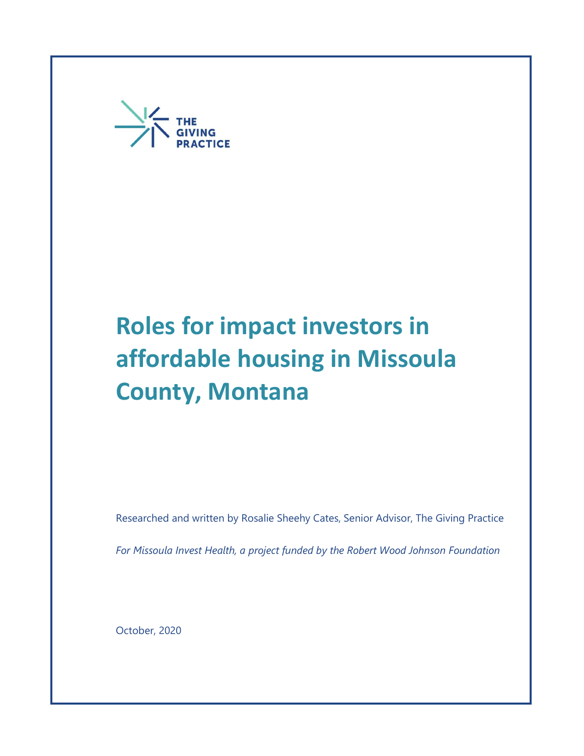

# **County, Montana** Roles for impact investors in affordable housing in Missoula

Researched and written by Rosalie Sheehy Cates, Senior Advisor, The Giving Practice

For Missoula Invest Health, a project funded by the Robert Wood Johnson Foundation

October, 2020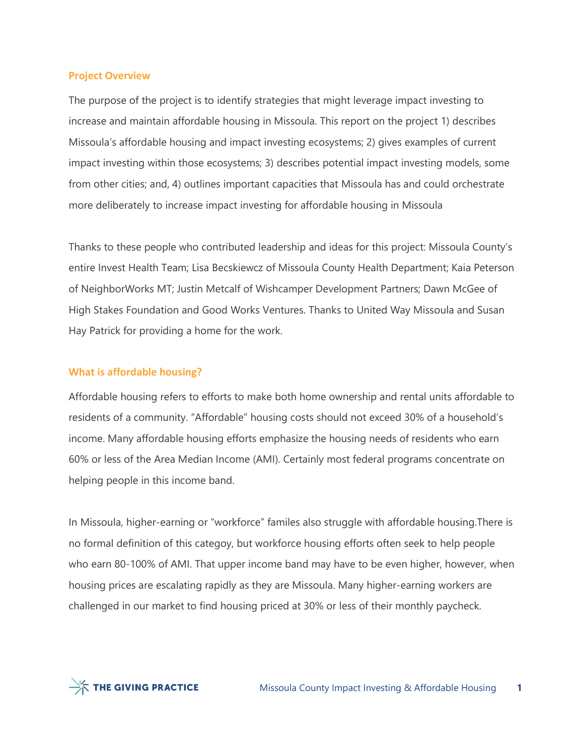#### Project Overview

The purpose of the project is to identify strategies that might leverage impact investing to increase and maintain affordable housing in Missoula. This report on the project 1) describes Missoula's affordable housing and impact investing ecosystems; 2) gives examples of current impact investing within those ecosystems; 3) describes potential impact investing models, some from other cities; and, 4) outlines important capacities that Missoula has and could orchestrate more deliberately to increase impact investing for affordable housing in Missoula

Thanks to these people who contributed leadership and ideas for this project: Missoula County's entire Invest Health Team; Lisa Becskiewcz of Missoula County Health Department; Kaia Peterson of NeighborWorks MT; Justin Metcalf of Wishcamper Development Partners; Dawn McGee of High Stakes Foundation and Good Works Ventures. Thanks to United Way Missoula and Susan Hay Patrick for providing a home for the work.

### What is affordable housing?

Affordable housing refers to efforts to make both home ownership and rental units affordable to residents of a community. "Affordable" housing costs should not exceed 30% of a household's income. Many affordable housing efforts emphasize the housing needs of residents who earn 60% or less of the Area Median Income (AMI). Certainly most federal programs concentrate on helping people in this income band.

In Missoula, higher-earning or "workforce" familes also struggle with affordable housing.There is no formal definition of this categoy, but workforce housing efforts often seek to help people who earn 80-100% of AMI. That upper income band may have to be even higher, however, when housing prices are escalating rapidly as they are Missoula. Many higher-earning workers are challenged in our market to find housing priced at 30% or less of their monthly paycheck.

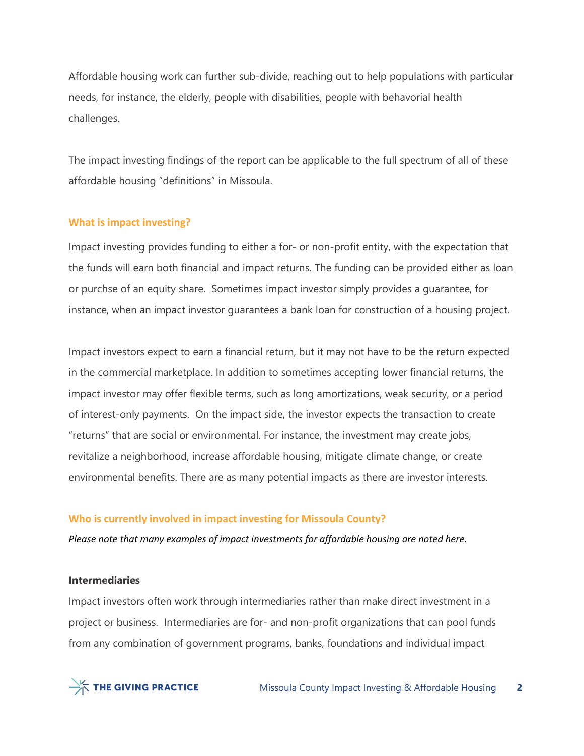Affordable housing work can further sub-divide, reaching out to help populations with particular needs, for instance, the elderly, people with disabilities, people with behavorial health challenges.

The impact investing findings of the report can be applicable to the full spectrum of all of these affordable housing "definitions" in Missoula.

### What is impact investing?

Impact investing provides funding to either a for- or non-profit entity, with the expectation that the funds will earn both financial and impact returns. The funding can be provided either as loan or purchse of an equity share. Sometimes impact investor simply provides a guarantee, for instance, when an impact investor guarantees a bank loan for construction of a housing project.

Impact investors expect to earn a financial return, but it may not have to be the return expected in the commercial marketplace. In addition to sometimes accepting lower financial returns, the impact investor may offer flexible terms, such as long amortizations, weak security, or a period of interest-only payments. On the impact side, the investor expects the transaction to create "returns" that are social or environmental. For instance, the investment may create jobs, revitalize a neighborhood, increase affordable housing, mitigate climate change, or create environmental benefits. There are as many potential impacts as there are investor interests.

### Who is currently involved in impact investing for Missoula County?

Please note that many examples of impact investments for affordable housing are noted here.

#### Intermediaries

Impact investors often work through intermediaries rather than make direct investment in a project or business. Intermediaries are for- and non-profit organizations that can pool funds from any combination of government programs, banks, foundations and individual impact

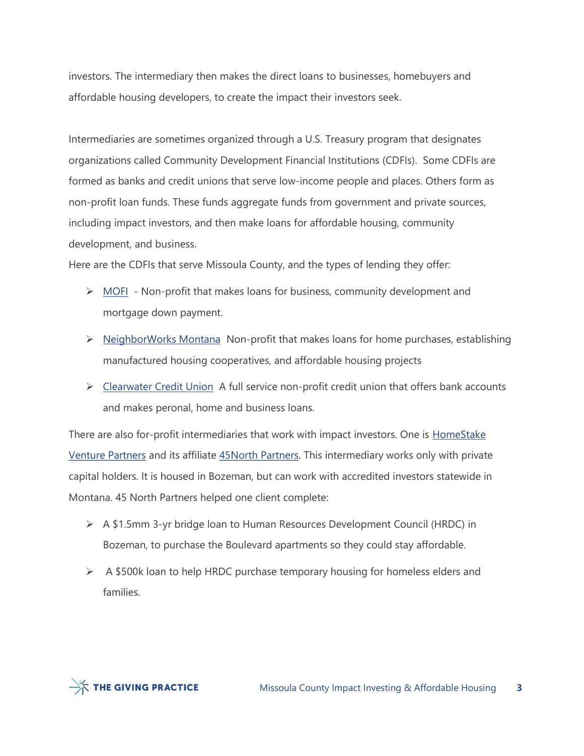investors. The intermediary then makes the direct loans to businesses, homebuyers and affordable housing developers, to create the impact their investors seek.

Intermediaries are sometimes organized through a U.S. Treasury program that designates organizations called Community Development Financial Institutions (CDFIs). Some CDFIs are formed as banks and credit unions that serve low-income people and places. Others form as non-profit loan funds. These funds aggregate funds from government and private sources, including impact investors, and then make loans for affordable housing, community development, and business.

Here are the CDFIs that serve Missoula County, and the types of lending they offer:

- $\triangleright$  MOFI Non-profit that makes loans for business, community development and mortgage down payment.
- $\triangleright$  NeighborWorks Montana Non-profit that makes loans for home purchases, establishing manufactured housing cooperatives, and affordable housing projects
- ▶ Clearwater Credit Union A full service non-profit credit union that offers bank accounts and makes peronal, home and business loans.

There are also for-profit intermediaries that work with impact investors. One is **HomeStake** Venture Partners and its affiliate 45North Partners. This intermediary works only with private capital holders. It is housed in Bozeman, but can work with accredited investors statewide in Montana. 45 North Partners helped one client complete:

- $\triangleright$  A \$1.5mm 3-yr bridge loan to Human Resources Development Council (HRDC) in Bozeman, to purchase the Boulevard apartments so they could stay affordable.
- $\triangleright$  A \$500k loan to help HRDC purchase temporary housing for homeless elders and families.

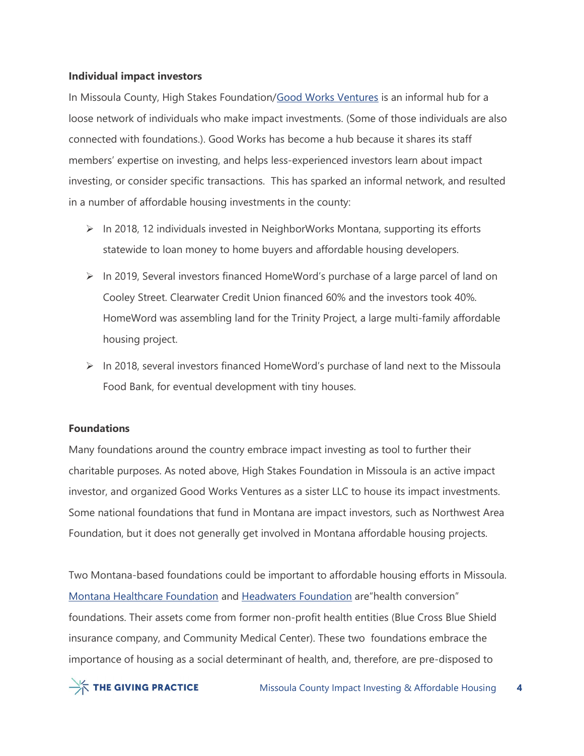## Individual impact investors

In Missoula County, High Stakes Foundation/Good Works Ventures is an informal hub for a loose network of individuals who make impact investments. (Some of those individuals are also connected with foundations.). Good Works has become a hub because it shares its staff members' expertise on investing, and helps less-experienced investors learn about impact investing, or consider specific transactions. This has sparked an informal network, and resulted in a number of affordable housing investments in the county:

- $\triangleright$  In 2018, 12 individuals invested in NeighborWorks Montana, supporting its efforts statewide to loan money to home buyers and affordable housing developers.
- $\triangleright$  In 2019, Several investors financed HomeWord's purchase of a large parcel of land on Cooley Street. Clearwater Credit Union financed 60% and the investors took 40%. HomeWord was assembling land for the Trinity Project, a large multi-family affordable housing project.
- In 2018, several investors financed HomeWord's purchase of land next to the Missoula Food Bank, for eventual development with tiny houses.

# Foundations

Many foundations around the country embrace impact investing as tool to further their charitable purposes. As noted above, High Stakes Foundation in Missoula is an active impact investor, and organized Good Works Ventures as a sister LLC to house its impact investments. Some national foundations that fund in Montana are impact investors, such as Northwest Area Foundation, but it does not generally get involved in Montana affordable housing projects.

Two Montana-based foundations could be important to affordable housing efforts in Missoula. Montana Healthcare Foundation and Headwaters Foundation are"health conversion" foundations. Their assets come from former non-profit health entities (Blue Cross Blue Shield insurance company, and Community Medical Center). These two foundations embrace the importance of housing as a social determinant of health, and, therefore, are pre-disposed to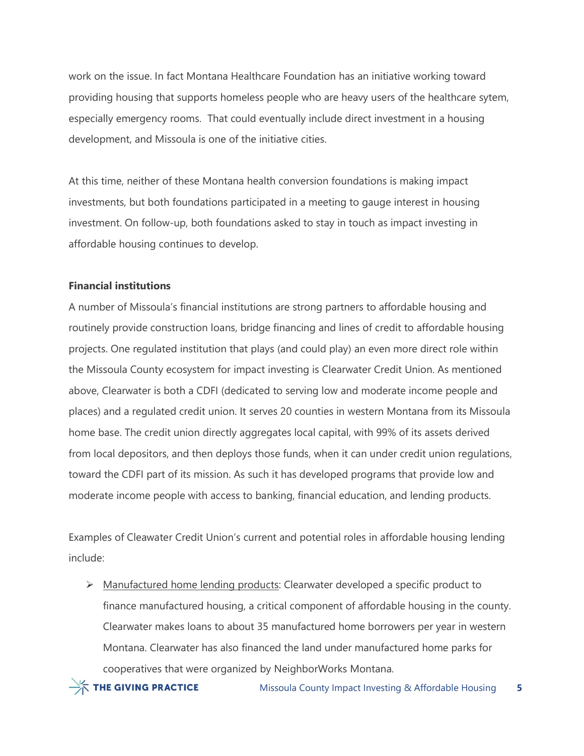work on the issue. In fact Montana Healthcare Foundation has an initiative working toward providing housing that supports homeless people who are heavy users of the healthcare sytem, especially emergency rooms. That could eventually include direct investment in a housing development, and Missoula is one of the initiative cities.

At this time, neither of these Montana health conversion foundations is making impact investments, but both foundations participated in a meeting to gauge interest in housing investment. On follow-up, both foundations asked to stay in touch as impact investing in affordable housing continues to develop.

## Financial institutions

A number of Missoula's financial institutions are strong partners to affordable housing and routinely provide construction loans, bridge financing and lines of credit to affordable housing projects. One regulated institution that plays (and could play) an even more direct role within the Missoula County ecosystem for impact investing is Clearwater Credit Union. As mentioned above, Clearwater is both a CDFI (dedicated to serving low and moderate income people and places) and a regulated credit union. It serves 20 counties in western Montana from its Missoula home base. The credit union directly aggregates local capital, with 99% of its assets derived from local depositors, and then deploys those funds, when it can under credit union regulations, toward the CDFI part of its mission. As such it has developed programs that provide low and moderate income people with access to banking, financial education, and lending products.

Examples of Cleawater Credit Union's current and potential roles in affordable housing lending include:

> Manufactured home lending products: Clearwater developed a specific product to finance manufactured housing, a critical component of affordable housing in the county. Clearwater makes loans to about 35 manufactured home borrowers per year in western Montana. Clearwater has also financed the land under manufactured home parks for cooperatives that were organized by NeighborWorks Montana.

THE GIVING PRACTICE

Missoula County Impact Investing & Affordable Housing 5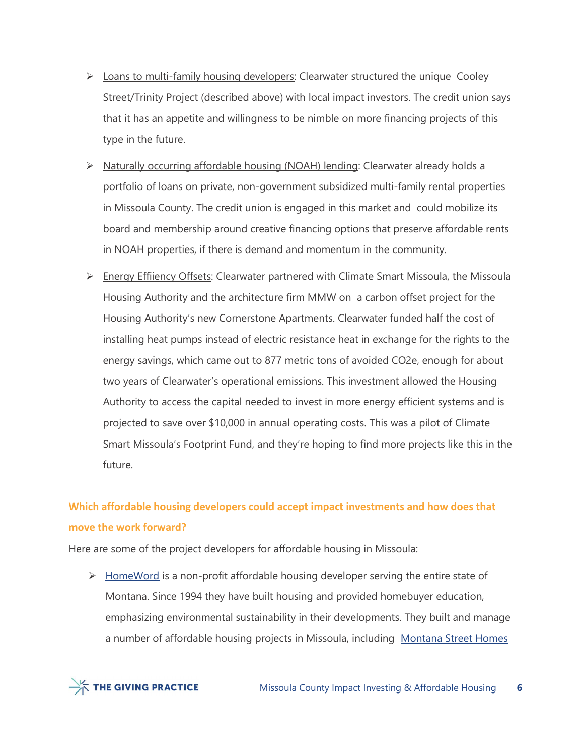- $\triangleright$  Loans to multi-family housing developers: Clearwater structured the unique Cooley Street/Trinity Project (described above) with local impact investors. The credit union says that it has an appetite and willingness to be nimble on more financing projects of this type in the future.
- $\triangleright$  Naturally occurring affordable housing (NOAH) lending: Clearwater already holds a portfolio of loans on private, non-government subsidized multi-family rental properties in Missoula County. The credit union is engaged in this market and could mobilize its board and membership around creative financing options that preserve affordable rents in NOAH properties, if there is demand and momentum in the community.
- $\triangleright$  Energy Effiiency Offsets: Clearwater partnered with Climate Smart Missoula, the Missoula Housing Authority and the architecture firm MMW on a carbon offset project for the Housing Authority's new Cornerstone Apartments. Clearwater funded half the cost of installing heat pumps instead of electric resistance heat in exchange for the rights to the energy savings, which came out to 877 metric tons of avoided CO2e, enough for about two years of Clearwater's operational emissions. This investment allowed the Housing Authority to access the capital needed to invest in more energy efficient systems and is projected to save over \$10,000 in annual operating costs. This was a pilot of Climate Smart Missoula's Footprint Fund, and they're hoping to find more projects like this in the future.

# Which affordable housing developers could accept impact investments and how does that move the work forward?

Here are some of the project developers for affordable housing in Missoula:

 $\triangleright$  HomeWord is a non-profit affordable housing developer serving the entire state of Montana. Since 1994 they have built housing and provided homebuyer education, emphasizing environmental sustainability in their developments. They built and manage a number of affordable housing projects in Missoula, including Montana Street Homes

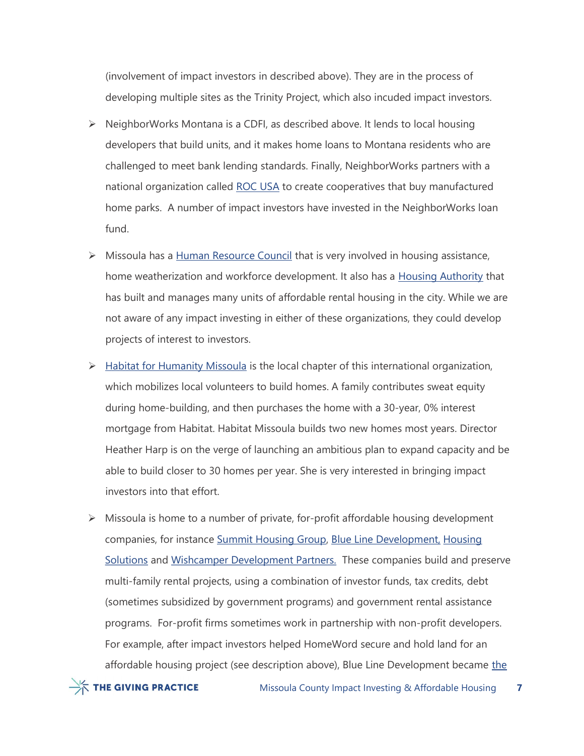(involvement of impact investors in described above). They are in the process of developing multiple sites as the Trinity Project, which also incuded impact investors.

- $\triangleright$  NeighborWorks Montana is a CDFI, as described above. It lends to local housing developers that build units, and it makes home loans to Montana residents who are challenged to meet bank lending standards. Finally, NeighborWorks partners with a national organization called ROC USA to create cooperatives that buy manufactured home parks. A number of impact investors have invested in the NeighborWorks loan fund.
- $\triangleright$  Missoula has a Human Resource Council that is very involved in housing assistance, home weatherization and workforce development. It also has a Housing Authority that has built and manages many units of affordable rental housing in the city. While we are not aware of any impact investing in either of these organizations, they could develop projects of interest to investors.
- $\triangleright$  Habitat for Humanity Missoula is the local chapter of this international organization, which mobilizes local volunteers to build homes. A family contributes sweat equity during home-building, and then purchases the home with a 30-year, 0% interest mortgage from Habitat. Habitat Missoula builds two new homes most years. Director Heather Harp is on the verge of launching an ambitious plan to expand capacity and be able to build closer to 30 homes per year. She is very interested in bringing impact investors into that effort.
- $\triangleright$  Missoula is home to a number of private, for-profit affordable housing development companies, for instance Summit Housing Group, Blue Line Development, Housing Solutions and Wishcamper Development Partners. These companies build and preserve multi-family rental projects, using a combination of investor funds, tax credits, debt (sometimes subsidized by government programs) and government rental assistance programs. For-profit firms sometimes work in partnership with non-profit developers. For example, after impact investors helped HomeWord secure and hold land for an affordable housing project (see description above), Blue Line Development became the

 $\frac{1}{2}$  THE GIVING PRACTICE

Missoula County Impact Investing & Affordable Housing 7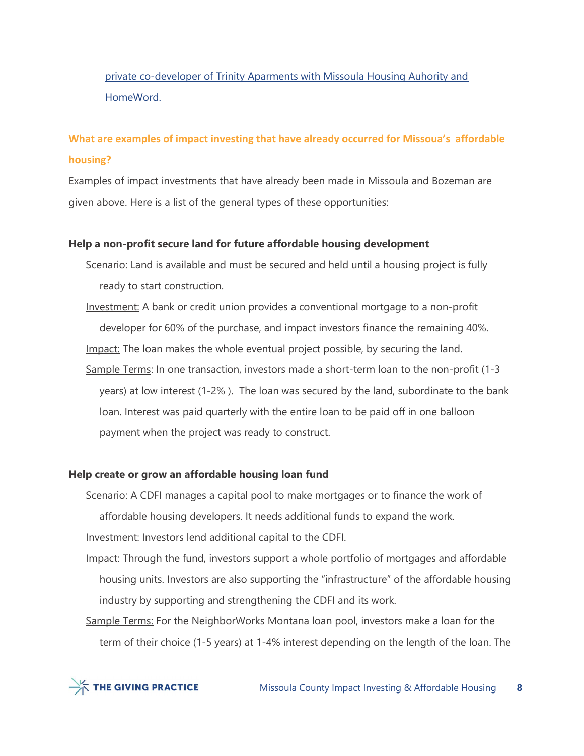# private co-developer of Trinity Aparments with Missoula Housing Auhority and HomeWord.

# What are examples of impact investing that have already occurred for Missoua's affordable housing?

Examples of impact investments that have already been made in Missoula and Bozeman are given above. Here is a list of the general types of these opportunities:

## Help a non-profit secure land for future affordable housing development

- Scenario: Land is available and must be secured and held until a housing project is fully ready to start construction.
- Investment: A bank or credit union provides a conventional mortgage to a non-profit developer for 60% of the purchase, and impact investors finance the remaining 40%. Impact: The loan makes the whole eventual project possible, by securing the land. Sample Terms: In one transaction, investors made a short-term loan to the non-profit (1-3 years) at low interest (1-2% ). The loan was secured by the land, subordinate to the bank loan. Interest was paid quarterly with the entire loan to be paid off in one balloon payment when the project was ready to construct.

## Help create or grow an affordable housing loan fund

Scenario: A CDFI manages a capital pool to make mortgages or to finance the work of affordable housing developers. It needs additional funds to expand the work.

Investment: Investors lend additional capital to the CDFI.

- Impact: Through the fund, investors support a whole portfolio of mortgages and affordable housing units. Investors are also supporting the "infrastructure" of the affordable housing industry by supporting and strengthening the CDFI and its work.
- Sample Terms: For the NeighborWorks Montana loan pool, investors make a loan for the term of their choice (1-5 years) at 1-4% interest depending on the length of the loan. The

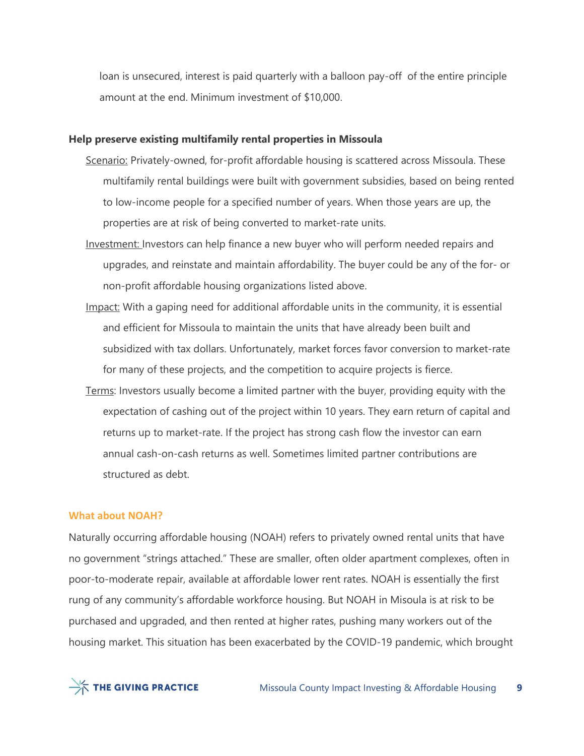loan is unsecured, interest is paid quarterly with a balloon pay-off of the entire principle amount at the end. Minimum investment of \$10,000.

### Help preserve existing multifamily rental properties in Missoula

- Scenario: Privately-owned, for-profit affordable housing is scattered across Missoula. These multifamily rental buildings were built with government subsidies, based on being rented to low-income people for a specified number of years. When those years are up, the properties are at risk of being converted to market-rate units.
- Investment: Investors can help finance a new buyer who will perform needed repairs and upgrades, and reinstate and maintain affordability. The buyer could be any of the for- or non-profit affordable housing organizations listed above.
- Impact: With a gaping need for additional affordable units in the community, it is essential and efficient for Missoula to maintain the units that have already been built and subsidized with tax dollars. Unfortunately, market forces favor conversion to market-rate for many of these projects, and the competition to acquire projects is fierce.
- Terms: Investors usually become a limited partner with the buyer, providing equity with the expectation of cashing out of the project within 10 years. They earn return of capital and returns up to market-rate. If the project has strong cash flow the investor can earn annual cash-on-cash returns as well. Sometimes limited partner contributions are structured as debt.

#### What about NOAH?

Naturally occurring affordable housing (NOAH) refers to privately owned rental units that have no government "strings attached." These are smaller, often older apartment complexes, often in poor-to-moderate repair, available at affordable lower rent rates. NOAH is essentially the first rung of any community's affordable workforce housing. But NOAH in Misoula is at risk to be purchased and upgraded, and then rented at higher rates, pushing many workers out of the housing market. This situation has been exacerbated by the COVID-19 pandemic, which brought

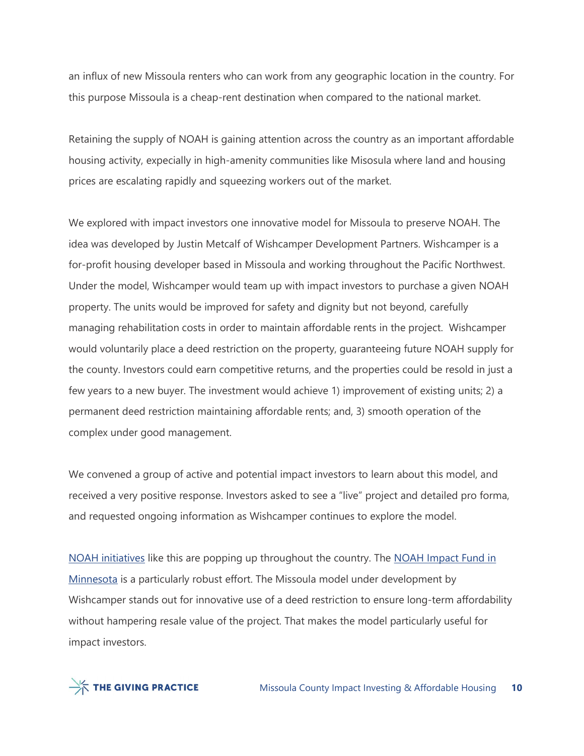an influx of new Missoula renters who can work from any geographic location in the country. For this purpose Missoula is a cheap-rent destination when compared to the national market.

Retaining the supply of NOAH is gaining attention across the country as an important affordable housing activity, expecially in high-amenity communities like Misosula where land and housing prices are escalating rapidly and squeezing workers out of the market.

We explored with impact investors one innovative model for Missoula to preserve NOAH. The idea was developed by Justin Metcalf of Wishcamper Development Partners. Wishcamper is a for-profit housing developer based in Missoula and working throughout the Pacific Northwest. Under the model, Wishcamper would team up with impact investors to purchase a given NOAH property. The units would be improved for safety and dignity but not beyond, carefully managing rehabilitation costs in order to maintain affordable rents in the project. Wishcamper would voluntarily place a deed restriction on the property, guaranteeing future NOAH supply for the county. Investors could earn competitive returns, and the properties could be resold in just a few years to a new buyer. The investment would achieve 1) improvement of existing units; 2) a permanent deed restriction maintaining affordable rents; and, 3) smooth operation of the complex under good management.

We convened a group of active and potential impact investors to learn about this model, and received a very positive response. Investors asked to see a "live" project and detailed pro forma, and requested ongoing information as Wishcamper continues to explore the model.

NOAH initiatives like this are popping up throughout the country. The NOAH Impact Fund in Minnesota is a particularly robust effort. The Missoula model under development by Wishcamper stands out for innovative use of a deed restriction to ensure long-term affordability without hampering resale value of the project. That makes the model particularly useful for impact investors.

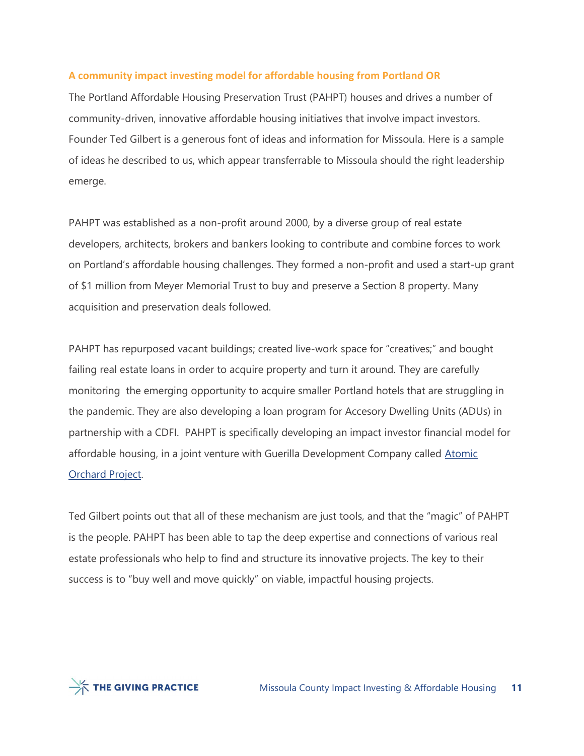# A community impact investing model for affordable housing from Portland OR

The Portland Affordable Housing Preservation Trust (PAHPT) houses and drives a number of community-driven, innovative affordable housing initiatives that involve impact investors. Founder Ted Gilbert is a generous font of ideas and information for Missoula. Here is a sample of ideas he described to us, which appear transferrable to Missoula should the right leadership emerge.

PAHPT was established as a non-profit around 2000, by a diverse group of real estate developers, architects, brokers and bankers looking to contribute and combine forces to work on Portland's affordable housing challenges. They formed a non-profit and used a start-up grant of \$1 million from Meyer Memorial Trust to buy and preserve a Section 8 property. Many acquisition and preservation deals followed.

PAHPT has repurposed vacant buildings; created live-work space for "creatives;" and bought failing real estate loans in order to acquire property and turn it around. They are carefully monitoring the emerging opportunity to acquire smaller Portland hotels that are struggling in the pandemic. They are also developing a loan program for Accesory Dwelling Units (ADUs) in partnership with a CDFI. PAHPT is specifically developing an impact investor financial model for affordable housing, in a joint venture with Guerilla Development Company called Atomic Orchard Project.

Ted Gilbert points out that all of these mechanism are just tools, and that the "magic" of PAHPT is the people. PAHPT has been able to tap the deep expertise and connections of various real estate professionals who help to find and structure its innovative projects. The key to their success is to "buy well and move quickly" on viable, impactful housing projects.

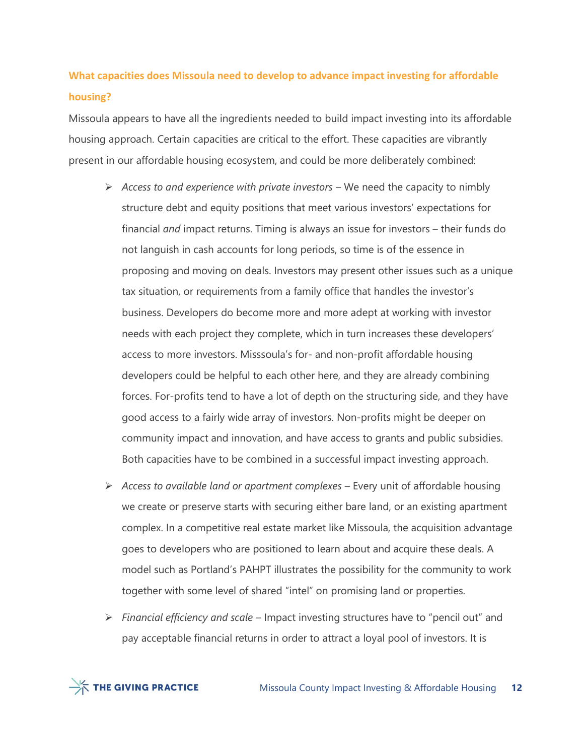# What capacities does Missoula need to develop to advance impact investing for affordable housing?

Missoula appears to have all the ingredients needed to build impact investing into its affordable housing approach. Certain capacities are critical to the effort. These capacities are vibrantly present in our affordable housing ecosystem, and could be more deliberately combined:

- $\triangleright$  Access to and experience with private investors We need the capacity to nimbly structure debt and equity positions that meet various investors' expectations for financial *and* impact returns. Timing is always an issue for investors – their funds do not languish in cash accounts for long periods, so time is of the essence in proposing and moving on deals. Investors may present other issues such as a unique tax situation, or requirements from a family office that handles the investor's business. Developers do become more and more adept at working with investor needs with each project they complete, which in turn increases these developers' access to more investors. Misssoula's for- and non-profit affordable housing developers could be helpful to each other here, and they are already combining forces. For-profits tend to have a lot of depth on the structuring side, and they have good access to a fairly wide array of investors. Non-profits might be deeper on community impact and innovation, and have access to grants and public subsidies. Both capacities have to be combined in a successful impact investing approach.
- $\triangleright$  Access to available land or apartment complexes Every unit of affordable housing we create or preserve starts with securing either bare land, or an existing apartment complex. In a competitive real estate market like Missoula, the acquisition advantage goes to developers who are positioned to learn about and acquire these deals. A model such as Portland's PAHPT illustrates the possibility for the community to work together with some level of shared "intel" on promising land or properties.
- $\triangleright$  Financial efficiency and scale Impact investing structures have to "pencil out" and pay acceptable financial returns in order to attract a loyal pool of investors. It is